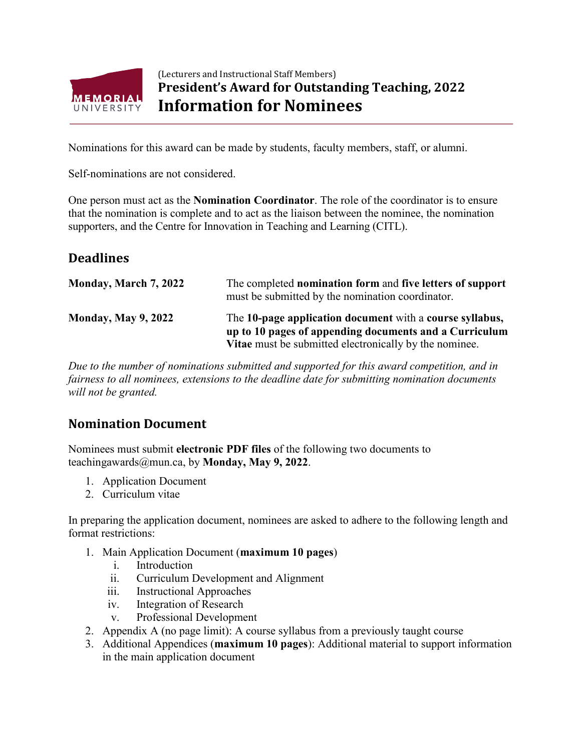

## (Lecturers and Instructional Staff Members) **President's Award for Outstanding Teaching, 2022 Information for Nominees**

Nominations for this award can be made by students, faculty members, staff, or alumni.

Self-nominations are not considered.

One person must act as the **Nomination Coordinator**. The role of the coordinator is to ensure that the nomination is complete and to act as the liaison between the nominee, the nomination supporters, and the Centre for Innovation in Teaching and Learning (CITL).

## **Deadlines**

| Monday, March 7, 2022      | The completed nomination form and five letters of support<br>must be submitted by the nomination coordinator.                                                                       |
|----------------------------|-------------------------------------------------------------------------------------------------------------------------------------------------------------------------------------|
| <b>Monday, May 9, 2022</b> | The 10-page application document with a course syllabus,<br>up to 10 pages of appending documents and a Curriculum<br><b>Vitae</b> must be submitted electronically by the nominee. |

*Due to the number of nominations submitted and supported for this award competition, and in fairness to all nominees, extensions to the deadline date for submitting nomination documents will not be granted.*

## **Nomination Document**

Nominees must submit **electronic PDF files** of the following two documents to teachingawards@mun.ca, by **Monday, May 9, 2022**.

- 1. Application Document
- 2. Curriculum vitae

In preparing the application document, nominees are asked to adhere to the following length and format restrictions:

- 1. Main Application Document (**maximum 10 pages**)
	- i. Introduction
	- ii. Curriculum Development and Alignment
	- iii. Instructional Approaches
	- iv. Integration of Research
	- v. Professional Development
- 2. Appendix A (no page limit): A course syllabus from a previously taught course
- 3. Additional Appendices (**maximum 10 pages**): Additional material to support information in the main application document